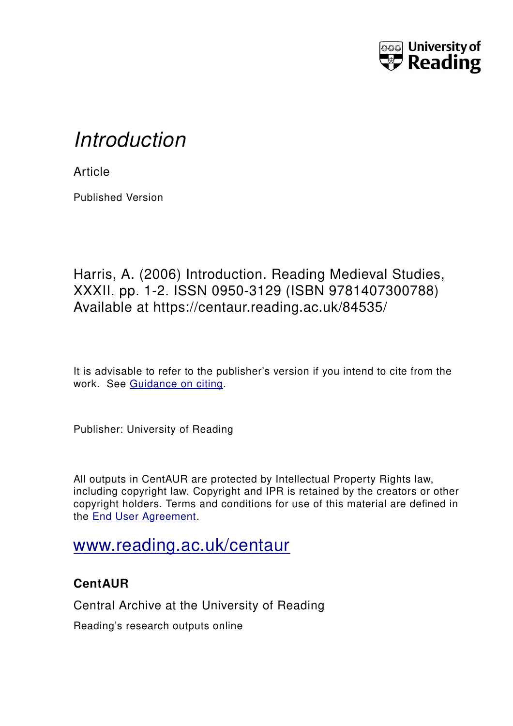

# *Introduction*

**Article** 

Published Version

Harris, A. (2006) Introduction. Reading Medieval Studies, XXXII. pp. 1-2. ISSN 0950-3129 (ISBN 9781407300788) Available at https://centaur.reading.ac.uk/84535/

It is advisable to refer to the publisher's version if you intend to cite from the work. See [Guidance on citing.](http://centaur.reading.ac.uk/71187/10/CentAUR%20citing%20guide.pdf)

Publisher: University of Reading

All outputs in CentAUR are protected by Intellectual Property Rights law, including copyright law. Copyright and IPR is retained by the creators or other copyright holders. Terms and conditions for use of this material are defined in the [End User Agreement.](http://centaur.reading.ac.uk/licence)

## [www.reading.ac.uk/centaur](http://www.reading.ac.uk/centaur)

## **CentAUR**

Central Archive at the University of Reading

Reading's research outputs online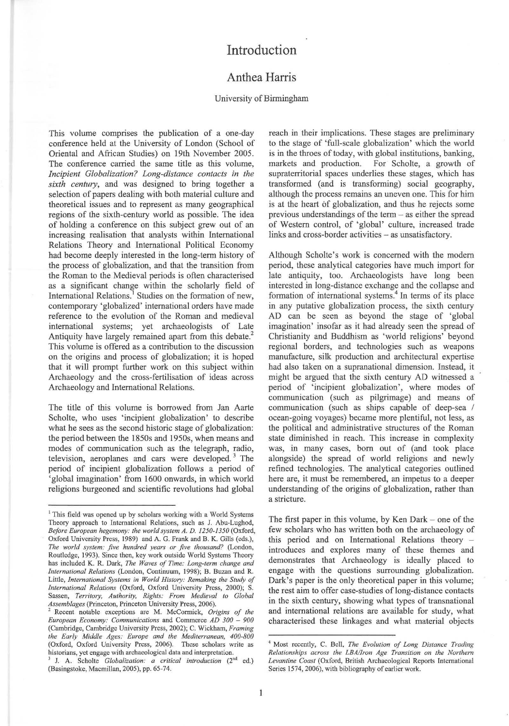### Anthea Harris

#### University of Birmingham

This volume comprises the publication of a one-day conference held at the University of London (School of Oriental and African Studies) on 19th November 2005. The conference carried the same title as this volume, *Incipient Globalization? Long-distance contacts in the sixth century,* and was designed to bring together a selection of papers dealing with both material culture and theoretical issues and to represent as many geographical regions of the sixth-century world as possible. The idea of holding a conference on this subject grew out of an increasing realisation that analysts within International Relations Theory and International Political Economy had become deeply interested in the long-term history of the process of globalization, and that the transition from the Roman to the Medieval periods is often characterised as a significant change within the scholarly field of International Relations.<sup>1</sup> Studies on the formation of new, contemporary 'globalized' international orders have made reference to the evolution of the Roman and medieval international systems; yet archaeologists of Late Antiquity have largely remained apart from this debate.<sup>2</sup> This volume is offered as a contribution to the discussion on the origins and process of globalization; it is hoped that it will prompt further work on this subject within Archaeology and the cross-fertilisation of ideas across Archaeology and International Relations.

The title of this volume is borrowed from Jan Aarte Scholte, who uses 'incipient globalization' to describe what he sees as the second historic stage of globalization: the period between the 1850s and 1950s, when means and modes of communication such as the telegraph, radio, television, aeroplanes and cars were developed.<sup>3</sup> The period of incipient globalization follows a period of 'global imagination' from 1600 onwards, in which world religions burgeoned and scientific revolutions had global

reach in their implications. These stages are preliminary to the stage of 'full-scale globalization' which the world is in the throes of today, with global institutions, banking, markets and production. For Scholte, a growth of For Scholte, a growth of supraterritorial spaces underlies these stages, which has transformed (and is transforming) social geography, although the process remains an uneven one, This for him is at the heart of globalization, and thus he rejects some previous understandings of the term - as either the spread of Western control, of 'global' culture, increased trade links and cross-border activities - as unsatisfactory.

Although Scholte's work is concerned with the modem period, these analytical categories have much import for late antiquity, too. Archaeologists have long been interested in long-distance exchange and the collapse and formation of international systems.<sup>4</sup> In terms of its place in any putative globalization process, the sixth century AD can be seen as beyond the stage of 'global imagination' insofar as it had already seen the spread of Christianity and Buddhism as 'world religions' beyond regional borders, and technologies such as weapons manufacture, silk production and architectural expertise had also taken on a supranational dimension. Instead, it might be argued that the sixth century AD witnessed a period of 'incipient globalization', where modes of communication (such as pilgrimage) and means of communication (such as ships capable of deep-sea / ocean-going voyages) became more plentiful, not less, as the political and administrative structures of the Roman state diminished in reach. This increase in complexity was, in many cases, born out of (and took place alongside) the spread of world religions and newly refined technologies. The analytical categories outlined here are, it must be remembered, an impetus to a deeper understanding of the origins of globalization, rather than a stricture.

The first paper in this volume, by Ken Dark – one of the few scholars who has written both on the archaeology of this period and on International Relations theory  $$ introduces and explores many of these themes and demonstrates that Archaeology is ideally placed to engage with the questions surrounding globalization. Dark's paper is the only theoretical paper in this volume; the rest aim to offer case-studies of long-distance contacts in the sixth century, showing what types of transnational and international relations are available for study, what characterised these linkages and what material objects

<sup>&</sup>lt;sup>1</sup> This field was opened up by scholars working with a World Systems Theory approach to International Relations, such as J. Abu-Lughod, *Before European hegemony: the world system A.* D. J *250-i 350* (Oxford, Oxford University Press, 1989) and A. G. Frank and B. K. Gills (eds.), *The world system: five hundred years or five thousand?* (London, Routledge, 1993). Since then, key work outside World Systems Theory has included K. R. Dark, *The Waves of Time: Long-term change and internarional Relations* (London, Continuum, 1998); B. Buzan and R. Little, *international Systems in World History: Remaking the Study of*  International Relations (Oxford, Oxford University Press, 2000); S. Sassen, *Territory, Authority, Rights: From Medieval to Global Assemblages* (Princeton, Princeton University Press, 2006).

<sup>2</sup> Recent notable exceptions are M. McCormick, *Origins of the European Economy: Communications* and Commerce *AD 300* - *900*  (Cambridge, Cambridge University Press, 2002); C. Wickham, *Framing*  the Early Middle Ages: Europe and the Mediterranean, 400-800 (Oxford, Oxford University Press, 2006). These scholars write as historians, yet engage with archaeological data and interpretation.

J. A. Scholte *Globalization: a critical introduction* (2<sup>nd</sup> ed.) (Basingstoke, Macmillan, 2005), pp. 65-74.

<sup>4</sup> Most recently, C. Bell, *The Evolurion of Long Distance Trading Relationships across the LBAJiron Age Transition on the Northern Levantine Coast* (Oxford, British Archaeological Reports lnternational Series 1574, 2006), with bibliography of earlier work.